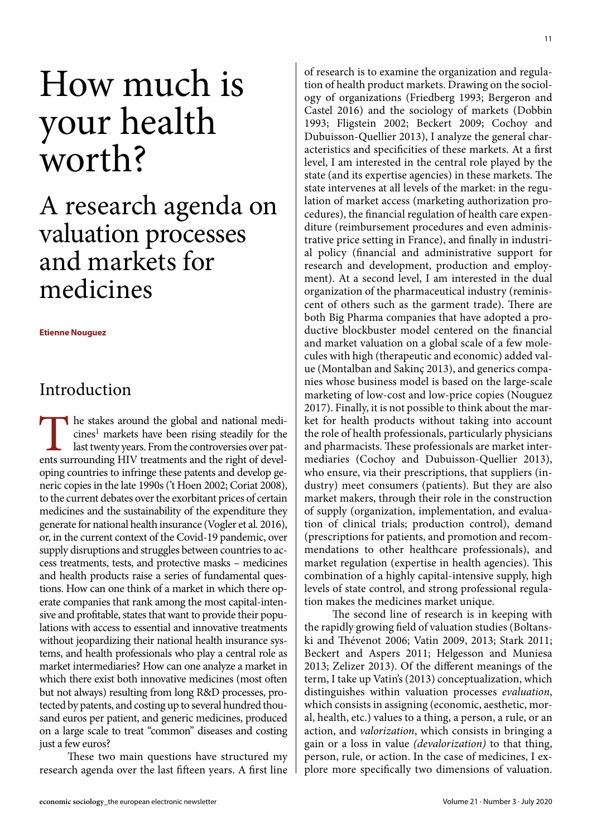# How much is your health worth?

# A research agenda on valuation processes and markets for medicines

**Etienne Nouguez**

# Introduction

The stakes around the global and national medicines<sup>1</sup> markets have been rising steadily for the last twenty years. From the controversies over patents surrounding HIV treatments and the right of developing countries to infringe these patents and develop generic copies in the late 1990s ('t Hoen 2002; Coriat 2008), to the current debates over the exorbitant prices of certain medicines and the sustainability of the expenditure they generate for national health insurance (Vogler et al. 2016), or, in the current context of the Covid-19 pandemic, over supply disruptions and struggles between countries to access treatments, tests, and protective masks – medicines and health products raise a series of fundamental questions. How can one think of a market in which there operate companies that rank among the most capital-intensive and profitable, states that want to provide their populations with access to essential and innovative treatments without jeopardizing their national health insurance systems, and health professionals who play a central role as market intermediaries? How can one analyze a market in which there exist both innovative medicines (most often but not always) resulting from long R&D processes, protected by patents, and costing up to several hundred thousand euros per patient, and generic medicines, produced on a large scale to treat "common" diseases and costing just a few euros?

These two main questions have structured my research agenda over the last fifteen years. A first line

of research is to examine the organization and regulation of health product markets. Drawing on the sociology of organizations (Friedberg 1993; Bergeron and Castel 2016) and the sociology of markets (Dobbin 1993; Fligstein 2002; Beckert 2009; Cochoy and Dubuisson-Quellier 2013), I analyze the general characteristics and specificities of these markets. At a first level, I am interested in the central role played by the state (and its expertise agencies) in these markets. The state intervenes at all levels of the market: in the regulation of market access (marketing authorization procedures), the financial regulation of health care expenditure (reimbursement procedures and even administrative price setting in France), and finally in industrial policy (financial and administrative support for research and development, production and employment). At a second level, I am interested in the dual organization of the pharmaceutical industry (reminiscent of others such as the garment trade). There are both Big Pharma companies that have adopted a productive blockbuster model centered on the financial and market valuation on a global scale of a few molecules with high (therapeutic and economic) added value (Montalban and Sakinç 2013), and generics companies whose business model is based on the large-scale marketing of low-cost and low-price copies (Nouguez 2017). Finally, it is not possible to think about the market for health products without taking into account the role of health professionals, particularly physicians and pharmacists. These professionals are market intermediaries (Cochoy and Dubuisson-Quellier 2013), who ensure, via their prescriptions, that suppliers (industry) meet consumers (patients). But they are also market makers, through their role in the construction of supply (organization, implementation, and evaluation of clinical trials; production control), demand (prescriptions for patients, and promotion and recommendations to other healthcare professionals), and market regulation (expertise in health agencies). This combination of a highly capital-intensive supply, high levels of state control, and strong professional regulation makes the medicines market unique.

The second line of research is in keeping with the rapidly growing field of valuation studies (Boltanski and Thévenot 2006; Vatin 2009, 2013; Stark 2011; Beckert and Aspers 2011; Helgesson and Muniesa 2013; Zelizer 2013). Of the different meanings of the term, I take up Vatin's (2013) conceptualization, which distinguishes within valuation processes *evaluation*, which consists in assigning (economic, aesthetic, moral, health, etc.) values to a thing, a person, a rule, or an action, and *valorization*, which consists in bringing a gain or a loss in value *(devalorization)* to that thing, person, rule, or action. In the case of medicines, I explore more specifically two dimensions of valuation.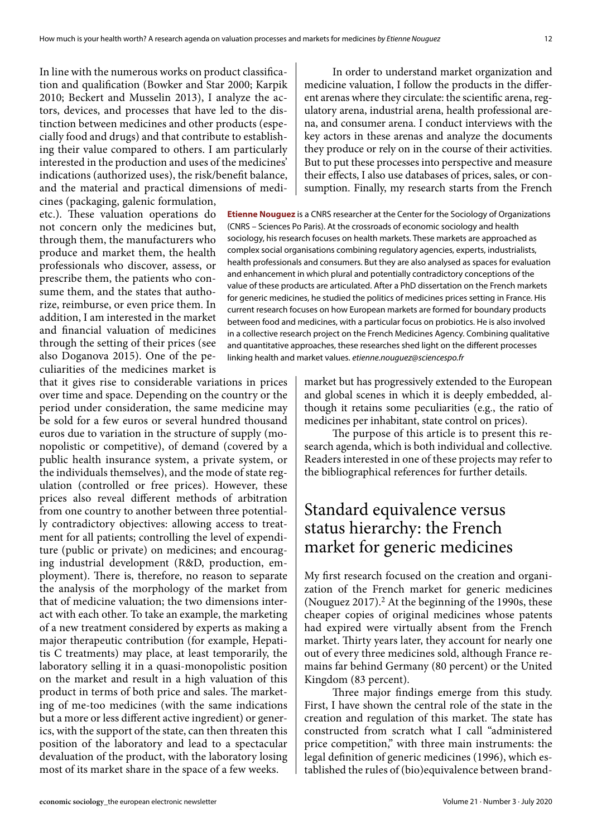In line with the numerous works on product classification and qualification (Bowker and Star 2000; Karpik 2010; Beckert and Musselin 2013), I analyze the actors, devices, and processes that have led to the distinction between medicines and other products (especially food and drugs) and that contribute to establishing their value compared to others. I am particularly interested in the production and uses of the medicines' indications (authorized uses), the risk/benefit balance, and the material and practical dimensions of medicines (packaging, galenic formulation,

etc.). These valuation operations do not concern only the medicines but, through them, the manufacturers who produce and market them, the health professionals who discover, assess, or prescribe them, the patients who consume them, and the states that authorize, reimburse, or even price them. In addition, I am interested in the market and financial valuation of medicines through the setting of their prices (see also Doganova 2015). One of the peculiarities of the medicines market is

that it gives rise to considerable variations in prices over time and space. Depending on the country or the period under consideration, the same medicine may be sold for a few euros or several hundred thousand euros due to variation in the structure of supply (monopolistic or competitive), of demand (covered by a public health insurance system, a private system, or the individuals themselves), and the mode of state regulation (controlled or free prices). However, these prices also reveal different methods of arbitration from one country to another between three potentially contradictory objectives: allowing access to treatment for all patients; controlling the level of expenditure (public or private) on medicines; and encouraging industrial development (R&D, production, employment). There is, therefore, no reason to separate the analysis of the morphology of the market from that of medicine valuation; the two dimensions interact with each other. To take an example, the marketing of a new treatment considered by experts as making a major therapeutic contribution (for example, Hepatitis C treatments) may place, at least temporarily, the laboratory selling it in a quasi-monopolistic position on the market and result in a high valuation of this product in terms of both price and sales. The marketing of me-too medicines (with the same indications but a more or less different active ingredient) or generics, with the support of the state, can then threaten this position of the laboratory and lead to a spectacular devaluation of the product, with the laboratory losing most of its market share in the space of a few weeks.

In order to understand market organization and medicine valuation, I follow the products in the different arenas where they circulate: the scientific arena, regulatory arena, industrial arena, health professional arena, and consumer arena. I conduct interviews with the key actors in these arenas and analyze the documents they produce or rely on in the course of their activities. But to put these processes into perspective and measure their effects, I also use databases of prices, sales, or consumption. Finally, my research starts from the French

**Etienne Nouguez** is a CNRS researcher at the Center for the Sociology of Organizations (CNRS – Sciences Po Paris). At the crossroads of economic sociology and health sociology, his research focuses on health markets. These markets are approached as complex social organisations combining regulatory agencies, experts, industrialists, health professionals and consumers. But they are also analysed as spaces for evaluation and enhancement in which plural and potentially contradictory conceptions of the value of these products are articulated. After a PhD dissertation on the French markets for generic medicines, he studied the politics of medicines prices setting in France. His current research focuses on how European markets are formed for boundary products between food and medicines, with a particular focus on probiotics. He is also involved in a collective research project on the French Medicines Agency. Combining qualitative and quantitative approaches, these researches shed light on the different processes linking health and market values. *etienne.nouguez@sciencespo.fr*

> market but has progressively extended to the European and global scenes in which it is deeply embedded, although it retains some peculiarities (e.g., the ratio of medicines per inhabitant, state control on prices).

> The purpose of this article is to present this research agenda, which is both individual and collective. Readers interested in one of these projects may refer to the bibliographical references for further details.

#### Standard equivalence versus status hierarchy: the French market for generic medicines

My first research focused on the creation and organization of the French market for generic medicines (Nouguez  $2017$ ).<sup>2</sup> At the beginning of the 1990s, these cheaper copies of original medicines whose patents had expired were virtually absent from the French market. Thirty years later, they account for nearly one out of every three medicines sold, although France remains far behind Germany (80 percent) or the United Kingdom (83 percent).

Three major findings emerge from this study. First, I have shown the central role of the state in the creation and regulation of this market. The state has constructed from scratch what I call "administered price competition," with three main instruments: the legal definition of generic medicines (1996), which established the rules of (bio)equivalence between brand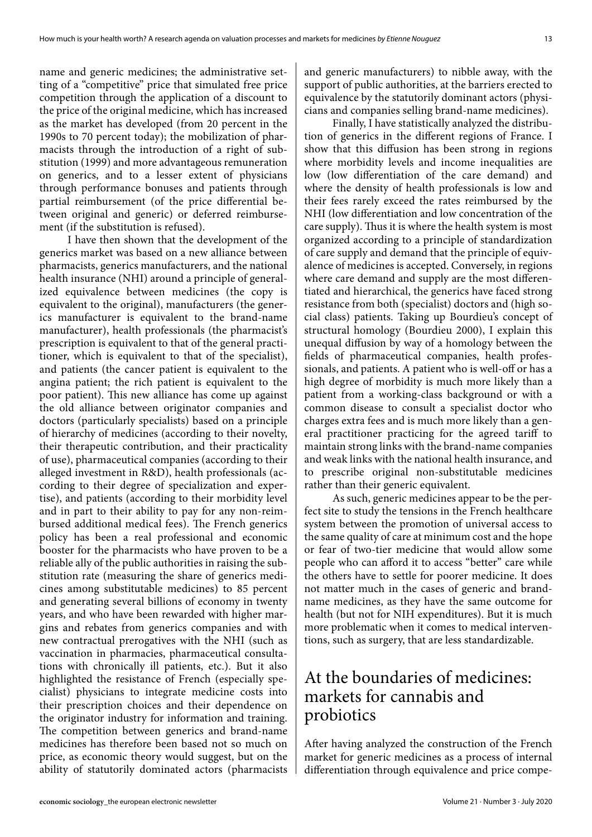name and generic medicines; the administrative setting of a "competitive" price that simulated free price competition through the application of a discount to the price of the original medicine, which has increased as the market has developed (from 20 percent in the 1990s to 70 percent today); the mobilization of pharmacists through the introduction of a right of substitution (1999) and more advantageous remuneration on generics, and to a lesser extent of physicians through performance bonuses and patients through partial reimbursement (of the price differential between original and generic) or deferred reimbursement (if the substitution is refused).

I have then shown that the development of the generics market was based on a new alliance between pharmacists, generics manufacturers, and the national health insurance (NHI) around a principle of generalized equivalence between medicines (the copy is equivalent to the original), manufacturers (the generics manufacturer is equivalent to the brand-name manufacturer), health professionals (the pharmacist's prescription is equivalent to that of the general practitioner, which is equivalent to that of the specialist), and patients (the cancer patient is equivalent to the angina patient; the rich patient is equivalent to the poor patient). This new alliance has come up against the old alliance between originator companies and doctors (particularly specialists) based on a principle of hierarchy of medicines (according to their novelty, their therapeutic contribution, and their practicality of use), pharmaceutical companies (according to their alleged investment in R&D), health professionals (according to their degree of specialization and expertise), and patients (according to their morbidity level and in part to their ability to pay for any non-reimbursed additional medical fees). The French generics policy has been a real professional and economic booster for the pharmacists who have proven to be a reliable ally of the public authorities in raising the substitution rate (measuring the share of generics medicines among substitutable medicines) to 85 percent and generating several billions of economy in twenty years, and who have been rewarded with higher margins and rebates from generics companies and with new contractual prerogatives with the NHI (such as vaccination in pharmacies, pharmaceutical consultations with chronically ill patients, etc.). But it also highlighted the resistance of French (especially specialist) physicians to integrate medicine costs into their prescription choices and their dependence on the originator industry for information and training. The competition between generics and brand-name medicines has therefore been based not so much on price, as economic theory would suggest, but on the ability of statutorily dominated actors (pharmacists

and generic manufacturers) to nibble away, with the support of public authorities, at the barriers erected to equivalence by the statutorily dominant actors (physicians and companies selling brand-name medicines).

Finally, I have statistically analyzed the distribution of generics in the different regions of France. I show that this diffusion has been strong in regions where morbidity levels and income inequalities are low (low differentiation of the care demand) and where the density of health professionals is low and their fees rarely exceed the rates reimbursed by the NHI (low differentiation and low concentration of the care supply). Thus it is where the health system is most organized according to a principle of standardization of care supply and demand that the principle of equivalence of medicines is accepted. Conversely, in regions where care demand and supply are the most differentiated and hierarchical, the generics have faced strong resistance from both (specialist) doctors and (high social class) patients. Taking up Bourdieu's concept of structural homology (Bourdieu 2000), I explain this unequal diffusion by way of a homology between the fields of pharmaceutical companies, health professionals, and patients. A patient who is well-off or has a high degree of morbidity is much more likely than a patient from a working-class background or with a common disease to consult a specialist doctor who charges extra fees and is much more likely than a general practitioner practicing for the agreed tariff to maintain strong links with the brand-name companies and weak links with the national health insurance, and to prescribe original non-substitutable medicines rather than their generic equivalent.

As such, generic medicines appear to be the perfect site to study the tensions in the French healthcare system between the promotion of universal access to the same quality of care at minimum cost and the hope or fear of two-tier medicine that would allow some people who can afford it to access "better" care while the others have to settle for poorer medicine. It does not matter much in the cases of generic and brandname medicines, as they have the same outcome for health (but not for NIH expenditures). But it is much more problematic when it comes to medical interventions, such as surgery, that are less standardizable.

#### At the boundaries of medicines: markets for cannabis and probiotics

After having analyzed the construction of the French market for generic medicines as a process of internal differentiation through equivalence and price compe-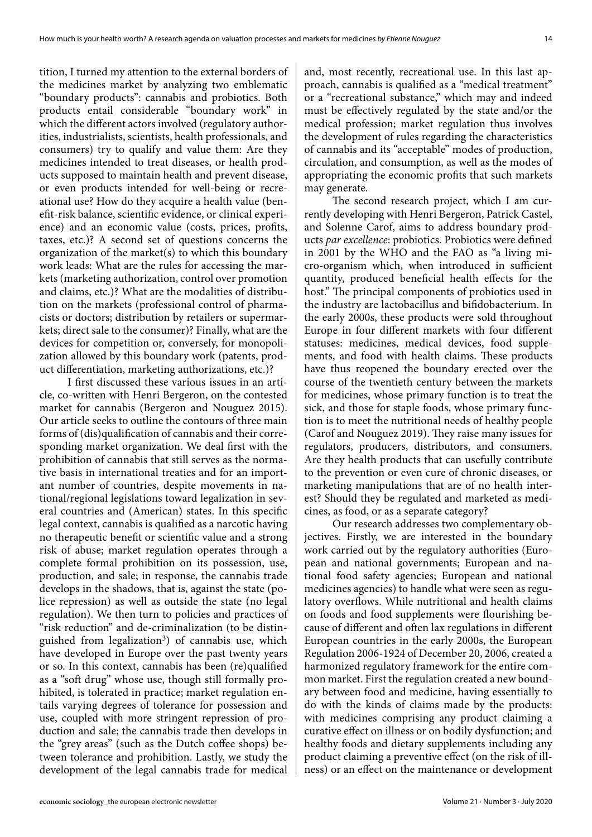tition, I turned my attention to the external borders of the medicines market by analyzing two emblematic "boundary products": cannabis and probiotics. Both products entail considerable "boundary work" in which the different actors involved (regulatory authorities, industrialists, scientists, health professionals, and consumers) try to qualify and value them: Are they medicines intended to treat diseases, or health products supposed to maintain health and prevent disease, or even products intended for well-being or recreational use? How do they acquire a health value (benefit-risk balance, scientific evidence, or clinical experience) and an economic value (costs, prices, profits, taxes, etc.)? A second set of questions concerns the organization of the market(s) to which this boundary work leads: What are the rules for accessing the markets (marketing authorization, control over promotion and claims, etc.)? What are the modalities of distribution on the markets (professional control of pharmacists or doctors; distribution by retailers or supermarkets; direct sale to the consumer)? Finally, what are the devices for competition or, conversely, for monopolization allowed by this boundary work (patents, product differentiation, marketing authorizations, etc.)?

I first discussed these various issues in an article, co-written with Henri Bergeron, on the contested market for cannabis (Bergeron and Nouguez 2015). Our article seeks to outline the contours of three main forms of (dis)qualification of cannabis and their corresponding market organization. We deal first with the prohibition of cannabis that still serves as the normative basis in international treaties and for an important number of countries, despite movements in national/regional legislations toward legalization in several countries and (American) states. In this specific legal context, cannabis is qualified as a narcotic having no therapeutic benefit or scientific value and a strong risk of abuse; market regulation operates through a complete formal prohibition on its possession, use, production, and sale; in response, the cannabis trade develops in the shadows, that is, against the state (police repression) as well as outside the state (no legal regulation). We then turn to policies and practices of "risk reduction" and de-criminalization (to be distinguished from legalization<sup>3</sup>) of cannabis use, which have developed in Europe over the past twenty years or so. In this context, cannabis has been (re)qualified as a "soft drug" whose use, though still formally prohibited, is tolerated in practice; market regulation entails varying degrees of tolerance for possession and use, coupled with more stringent repression of production and sale; the cannabis trade then develops in the "grey areas" (such as the Dutch coffee shops) between tolerance and prohibition. Lastly, we study the development of the legal cannabis trade for medical

and, most recently, recreational use. In this last approach, cannabis is qualified as a "medical treatment" or a "recreational substance," which may and indeed must be effectively regulated by the state and/or the medical profession; market regulation thus involves the development of rules regarding the characteristics of cannabis and its "acceptable" modes of production, circulation, and consumption, as well as the modes of appropriating the economic profits that such markets may generate.

The second research project, which I am currently developing with Henri Bergeron, Patrick Castel, and Solenne Carof, aims to address boundary products *par excellence*: probiotics. Probiotics were defined in 2001 by the WHO and the FAO as "a living micro-organism which, when introduced in sufficient quantity, produced beneficial health effects for the host." The principal components of probiotics used in the industry are lactobacillus and bifidobacterium. In the early 2000s, these products were sold throughout Europe in four different markets with four different statuses: medicines, medical devices, food supplements, and food with health claims. These products have thus reopened the boundary erected over the course of the twentieth century between the markets for medicines, whose primary function is to treat the sick, and those for staple foods, whose primary function is to meet the nutritional needs of healthy people (Carof and Nouguez 2019). They raise many issues for regulators, producers, distributors, and consumers. Are they health products that can usefully contribute to the prevention or even cure of chronic diseases, or marketing manipulations that are of no health interest? Should they be regulated and marketed as medicines, as food, or as a separate category?

Our research addresses two complementary objectives. Firstly, we are interested in the boundary work carried out by the regulatory authorities (European and national governments; European and national food safety agencies; European and national medicines agencies) to handle what were seen as regulatory overflows. While nutritional and health claims on foods and food supplements were flourishing because of different and often lax regulations in different European countries in the early 2000s, the European Regulation 2006-1924 of December 20, 2006, created a harmonized regulatory framework for the entire common market. First the regulation created a new boundary between food and medicine, having essentially to do with the kinds of claims made by the products: with medicines comprising any product claiming a curative effect on illness or on bodily dysfunction; and healthy foods and dietary supplements including any product claiming a preventive effect (on the risk of illness) or an effect on the maintenance or development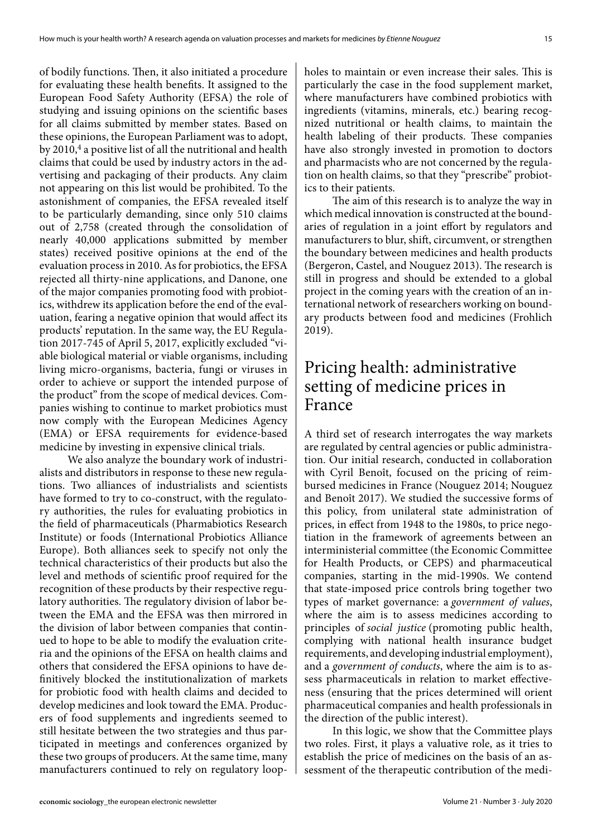of bodily functions. Then, it also initiated a procedure for evaluating these health benefits. It assigned to the European Food Safety Authority (EFSA) the role of studying and issuing opinions on the scientific bases for all claims submitted by member states. Based on these opinions, the European Parliament was to adopt, by 2010,<sup>4</sup> a positive list of all the nutritional and health claims that could be used by industry actors in the advertising and packaging of their products. Any claim not appearing on this list would be prohibited. To the astonishment of companies, the EFSA revealed itself to be particularly demanding, since only 510 claims out of 2,758 (created through the consolidation of nearly 40,000 applications submitted by member states) received positive opinions at the end of the evaluation process in 2010. As for probiotics, the EFSA rejected all thirty-nine applications, and Danone, one of the major companies promoting food with probiotics, withdrew its application before the end of the evaluation, fearing a negative opinion that would affect its products' reputation. In the same way, the EU Regulation 2017-745 of April 5, 2017, explicitly excluded "viable biological material or viable organisms, including living micro-organisms, bacteria, fungi or viruses in order to achieve or support the intended purpose of the product" from the scope of medical devices. Companies wishing to continue to market probiotics must now comply with the European Medicines Agency (EMA) or EFSA requirements for evidence-based medicine by investing in expensive clinical trials.

We also analyze the boundary work of industrialists and distributors in response to these new regulations. Two alliances of industrialists and scientists have formed to try to co-construct, with the regulatory authorities, the rules for evaluating probiotics in the field of pharmaceuticals (Pharmabiotics Research Institute) or foods (International Probiotics Alliance Europe). Both alliances seek to specify not only the technical characteristics of their products but also the level and methods of scientific proof required for the recognition of these products by their respective regulatory authorities. The regulatory division of labor between the EMA and the EFSA was then mirrored in the division of labor between companies that continued to hope to be able to modify the evaluation criteria and the opinions of the EFSA on health claims and others that considered the EFSA opinions to have definitively blocked the institutionalization of markets for probiotic food with health claims and decided to develop medicines and look toward the EMA. Producers of food supplements and ingredients seemed to still hesitate between the two strategies and thus participated in meetings and conferences organized by these two groups of producers. At the same time, many manufacturers continued to rely on regulatory loopholes to maintain or even increase their sales. This is particularly the case in the food supplement market, where manufacturers have combined probiotics with ingredients (vitamins, minerals, etc.) bearing recognized nutritional or health claims, to maintain the health labeling of their products. These companies have also strongly invested in promotion to doctors and pharmacists who are not concerned by the regulation on health claims, so that they "prescribe" probiotics to their patients.

The aim of this research is to analyze the way in which medical innovation is constructed at the boundaries of regulation in a joint effort by regulators and manufacturers to blur, shift, circumvent, or strengthen the boundary between medicines and health products (Bergeron, Castel, and Nouguez 2013). The research is still in progress and should be extended to a global project in the coming years with the creation of an international network of researchers working on boundary products between food and medicines (Frohlich 2019).

### Pricing health: administrative setting of medicine prices in France

A third set of research interrogates the way markets are regulated by central agencies or public administration. Our initial research, conducted in collaboration with Cyril Benoît, focused on the pricing of reimbursed medicines in France (Nouguez 2014; Nouguez and Benoît 2017). We studied the successive forms of this policy, from unilateral state administration of prices, in effect from 1948 to the 1980s, to price negotiation in the framework of agreements between an interministerial committee (the Economic Committee for Health Products, or CEPS) and pharmaceutical companies, starting in the mid-1990s. We contend that state-imposed price controls bring together two types of market governance: a *government of values*, where the aim is to assess medicines according to principles of *social justice* (promoting public health, complying with national health insurance budget requirements, and developing industrial employment), and a *government of conducts*, where the aim is to assess pharmaceuticals in relation to market effectiveness (ensuring that the prices determined will orient pharmaceutical companies and health professionals in the direction of the public interest).

In this logic, we show that the Committee plays two roles. First, it plays a valuative role, as it tries to establish the price of medicines on the basis of an assessment of the therapeutic contribution of the medi-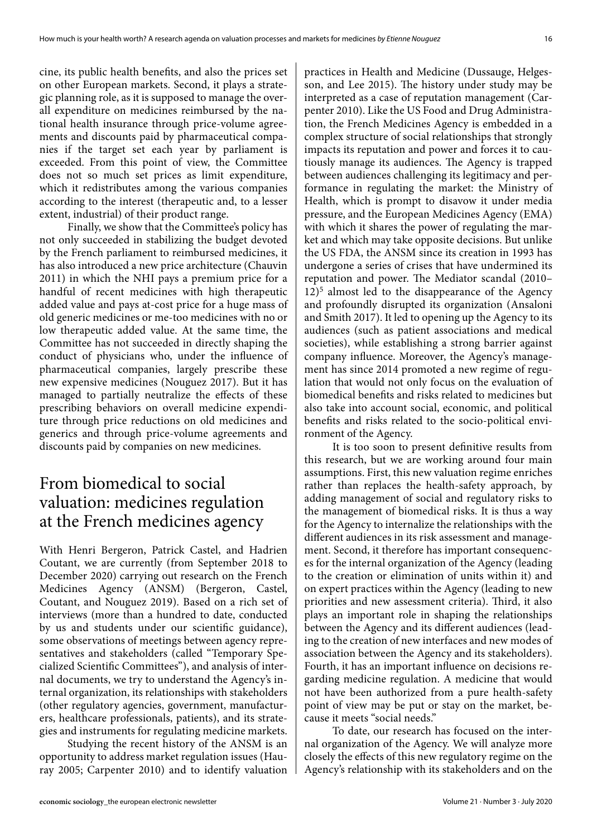cine, its public health benefits, and also the prices set on other European markets. Second, it plays a strategic planning role, as it is supposed to manage the overall expenditure on medicines reimbursed by the national health insurance through price-volume agreements and discounts paid by pharmaceutical companies if the target set each year by parliament is exceeded. From this point of view, the Committee does not so much set prices as limit expenditure, which it redistributes among the various companies according to the interest (therapeutic and, to a lesser extent, industrial) of their product range.

Finally, we show that the Committee's policy has not only succeeded in stabilizing the budget devoted by the French parliament to reimbursed medicines, it has also introduced a new price architecture (Chauvin 2011) in which the NHI pays a premium price for a handful of recent medicines with high therapeutic added value and pays at-cost price for a huge mass of old generic medicines or me-too medicines with no or low therapeutic added value. At the same time, the Committee has not succeeded in directly shaping the conduct of physicians who, under the influence of pharmaceutical companies, largely prescribe these new expensive medicines (Nouguez 2017). But it has managed to partially neutralize the effects of these prescribing behaviors on overall medicine expenditure through price reductions on old medicines and generics and through price-volume agreements and discounts paid by companies on new medicines.

# From biomedical to social valuation: medicines regulation at the French medicines agency

With Henri Bergeron, Patrick Castel, and Hadrien Coutant, we are currently (from September 2018 to December 2020) carrying out research on the French Medicines Agency (ANSM) (Bergeron, Castel, Coutant, and Nouguez 2019). Based on a rich set of interviews (more than a hundred to date, conducted by us and students under our scientific guidance), some observations of meetings between agency representatives and stakeholders (called "Temporary Specialized Scientific Committees"), and analysis of internal documents, we try to understand the Agency's internal organization, its relationships with stakeholders (other regulatory agencies, government, manufacturers, healthcare professionals, patients), and its strategies and instruments for regulating medicine markets.

Studying the recent history of the ANSM is an opportunity to address market regulation issues (Hauray 2005; Carpenter 2010) and to identify valuation

practices in Health and Medicine (Dussauge, Helgesson, and Lee 2015). The history under study may be interpreted as a case of reputation management (Carpenter 2010). Like the US Food and Drug Administration, the French Medicines Agency is embedded in a complex structure of social relationships that strongly impacts its reputation and power and forces it to cautiously manage its audiences. The Agency is trapped between audiences challenging its legitimacy and performance in regulating the market: the Ministry of Health, which is prompt to disavow it under media pressure, and the European Medicines Agency (EMA) with which it shares the power of regulating the market and which may take opposite decisions. But unlike the US FDA, the ANSM since its creation in 1993 has undergone a series of crises that have undermined its reputation and power. The Mediator scandal (2010–  $12$ <sup>5</sup> almost led to the disappearance of the Agency and profoundly disrupted its organization (Ansaloni and Smith 2017). It led to opening up the Agency to its audiences (such as patient associations and medical societies), while establishing a strong barrier against company influence. Moreover, the Agency's management has since 2014 promoted a new regime of regulation that would not only focus on the evaluation of biomedical benefits and risks related to medicines but also take into account social, economic, and political benefits and risks related to the socio-political environment of the Agency.

It is too soon to present definitive results from this research, but we are working around four main assumptions. First, this new valuation regime enriches rather than replaces the health-safety approach, by adding management of social and regulatory risks to the management of biomedical risks. It is thus a way for the Agency to internalize the relationships with the different audiences in its risk assessment and management. Second, it therefore has important consequences for the internal organization of the Agency (leading to the creation or elimination of units within it) and on expert practices within the Agency (leading to new priorities and new assessment criteria). Third, it also plays an important role in shaping the relationships between the Agency and its different audiences (leading to the creation of new interfaces and new modes of association between the Agency and its stakeholders). Fourth, it has an important influence on decisions regarding medicine regulation. A medicine that would not have been authorized from a pure health-safety point of view may be put or stay on the market, because it meets "social needs."

To date, our research has focused on the internal organization of the Agency. We will analyze more closely the effects of this new regulatory regime on the Agency's relationship with its stakeholders and on the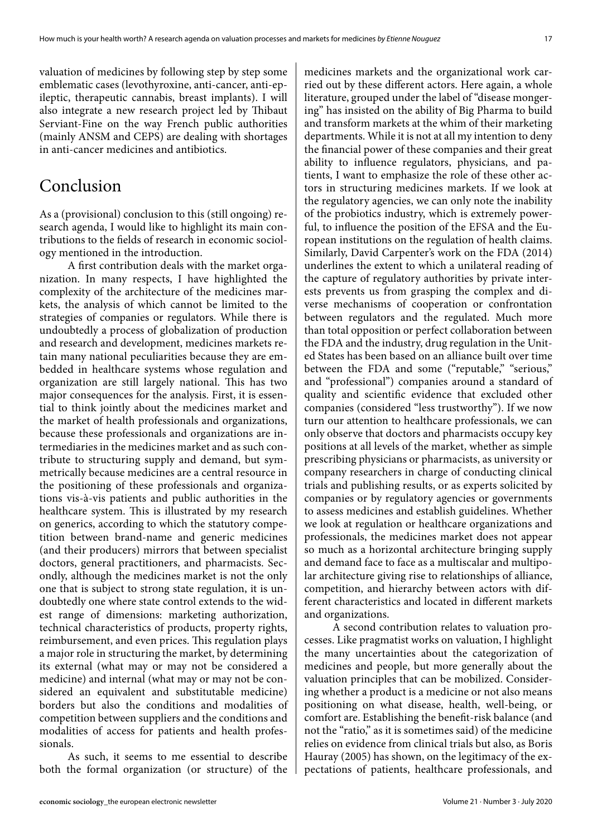valuation of medicines by following step by step some emblematic cases (levothyroxine, anti-cancer, anti-epileptic, therapeutic cannabis, breast implants). I will also integrate a new research project led by Thibaut Serviant-Fine on the way French public authorities (mainly ANSM and CEPS) are dealing with shortages in anti-cancer medicines and antibiotics.

# Conclusion

As a (provisional) conclusion to this (still ongoing) research agenda, I would like to highlight its main contributions to the fields of research in economic sociology mentioned in the introduction.

A first contribution deals with the market organization. In many respects, I have highlighted the complexity of the architecture of the medicines markets, the analysis of which cannot be limited to the strategies of companies or regulators. While there is undoubtedly a process of globalization of production and research and development, medicines markets retain many national peculiarities because they are embedded in healthcare systems whose regulation and organization are still largely national. This has two major consequences for the analysis. First, it is essential to think jointly about the medicines market and the market of health professionals and organizations, because these professionals and organizations are intermediaries in the medicines market and as such contribute to structuring supply and demand, but symmetrically because medicines are a central resource in the positioning of these professionals and organizations vis-à-vis patients and public authorities in the healthcare system. This is illustrated by my research on generics, according to which the statutory competition between brand-name and generic medicines (and their producers) mirrors that between specialist doctors, general practitioners, and pharmacists. Secondly, although the medicines market is not the only one that is subject to strong state regulation, it is undoubtedly one where state control extends to the widest range of dimensions: marketing authorization, technical characteristics of products, property rights, reimbursement, and even prices. This regulation plays a major role in structuring the market, by determining its external (what may or may not be considered a medicine) and internal (what may or may not be considered an equivalent and substitutable medicine) borders but also the conditions and modalities of competition between suppliers and the conditions and modalities of access for patients and health professionals.

As such, it seems to me essential to describe both the formal organization (or structure) of the

medicines markets and the organizational work carried out by these different actors. Here again, a whole literature, grouped under the label of "disease mongering" has insisted on the ability of Big Pharma to build and transform markets at the whim of their marketing departments. While it is not at all my intention to deny the financial power of these companies and their great ability to influence regulators, physicians, and patients, I want to emphasize the role of these other actors in structuring medicines markets. If we look at the regulatory agencies, we can only note the inability of the probiotics industry, which is extremely powerful, to influence the position of the EFSA and the European institutions on the regulation of health claims. Similarly, David Carpenter's work on the FDA (2014) underlines the extent to which a unilateral reading of the capture of regulatory authorities by private interests prevents us from grasping the complex and diverse mechanisms of cooperation or confrontation between regulators and the regulated. Much more than total opposition or perfect collaboration between the FDA and the industry, drug regulation in the United States has been based on an alliance built over time between the FDA and some ("reputable," "serious," and "professional") companies around a standard of quality and scientific evidence that excluded other companies (considered "less trustworthy"). If we now turn our attention to healthcare professionals, we can only observe that doctors and pharmacists occupy key positions at all levels of the market, whether as simple prescribing physicians or pharmacists, as university or company researchers in charge of conducting clinical trials and publishing results, or as experts solicited by companies or by regulatory agencies or governments to assess medicines and establish guidelines. Whether we look at regulation or healthcare organizations and professionals, the medicines market does not appear so much as a horizontal architecture bringing supply and demand face to face as a multiscalar and multipolar architecture giving rise to relationships of alliance, competition, and hierarchy between actors with different characteristics and located in different markets and organizations.

A second contribution relates to valuation processes. Like pragmatist works on valuation, I highlight the many uncertainties about the categorization of medicines and people, but more generally about the valuation principles that can be mobilized. Considering whether a product is a medicine or not also means positioning on what disease, health, well-being, or comfort are. Establishing the benefit-risk balance (and not the "ratio," as it is sometimes said) of the medicine relies on evidence from clinical trials but also, as Boris Hauray (2005) has shown, on the legitimacy of the expectations of patients, healthcare professionals, and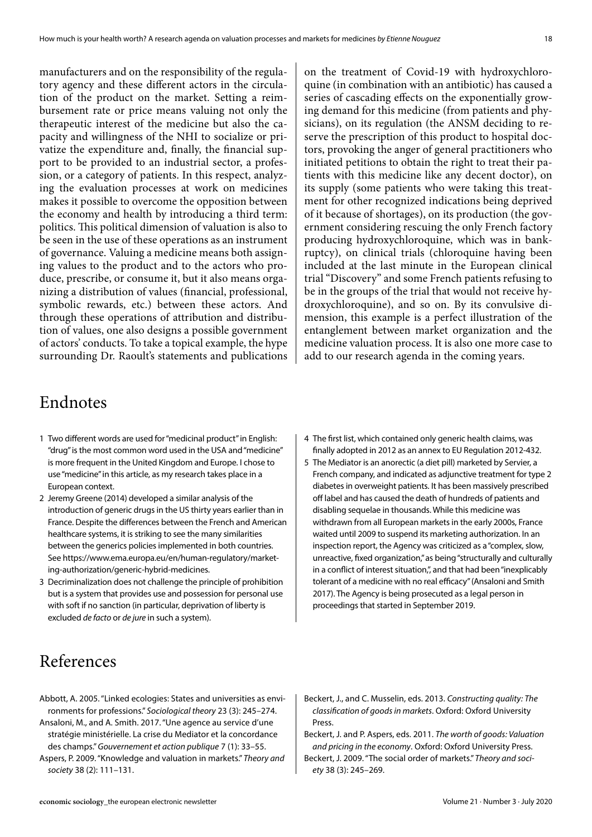manufacturers and on the responsibility of the regulatory agency and these different actors in the circulation of the product on the market. Setting a reimbursement rate or price means valuing not only the therapeutic interest of the medicine but also the capacity and willingness of the NHI to socialize or privatize the expenditure and, finally, the financial support to be provided to an industrial sector, a profession, or a category of patients. In this respect, analyzing the evaluation processes at work on medicines makes it possible to overcome the opposition between the economy and health by introducing a third term: politics. This political dimension of valuation is also to be seen in the use of these operations as an instrument of governance. Valuing a medicine means both assigning values to the product and to the actors who produce, prescribe, or consume it, but it also means organizing a distribution of values (financial, professional, symbolic rewards, etc.) between these actors. And through these operations of attribution and distribution of values, one also designs a possible government of actors' conducts. To take a topical example, the hype surrounding Dr. Raoult's statements and publications

on the treatment of Covid-19 with hydroxychloroquine (in combination with an antibiotic) has caused a series of cascading effects on the exponentially growing demand for this medicine (from patients and physicians), on its regulation (the ANSM deciding to reserve the prescription of this product to hospital doctors, provoking the anger of general practitioners who initiated petitions to obtain the right to treat their patients with this medicine like any decent doctor), on its supply (some patients who were taking this treatment for other recognized indications being deprived of it because of shortages), on its production (the government considering rescuing the only French factory producing hydroxychloroquine, which was in bankruptcy), on clinical trials (chloroquine having been included at the last minute in the European clinical trial "Discovery" and some French patients refusing to be in the groups of the trial that would not receive hydroxychloroquine), and so on. By its convulsive dimension, this example is a perfect illustration of the entanglement between market organization and the medicine valuation process. It is also one more case to add to our research agenda in the coming years.

#### Endnotes

- 1 Two different words are used for "medicinal product" in English: "drug" is the most common word used in the USA and "medicine" is more frequent in the United Kingdom and Europe. I chose to use "medicine" in this article, as my research takes place in a European context.
- 2 Jeremy Greene (2014) developed a similar analysis of the introduction of generic drugs in the US thirty years earlier than in France. Despite the differences between the French and American healthcare systems, it is striking to see the many similarities between the generics policies implemented in both countries. See https://www.ema.europa.eu/en/human-regulatory/marketing-authorization/generic-hybrid-medicines.
- 3 Decriminalization does not challenge the principle of prohibition but is a system that provides use and possession for personal use with soft if no sanction (in particular, deprivation of liberty is excluded *de facto* or *de jure* in such a system).
- 4 The first list, which contained only generic health claims, was finally adopted in 2012 as an annex to EU Regulation 2012-432.
- 5 The Mediator is an anorectic (a diet pill) marketed by Servier, a French company, and indicated as adjunctive treatment for type 2 diabetes in overweight patients. It has been massively prescribed off label and has caused the death of hundreds of patients and disabling sequelae in thousands. While this medicine was withdrawn from all European markets in the early 2000s, France waited until 2009 to suspend its marketing authorization. In an inspection report, the Agency was criticized as a "complex, slow, unreactive, fixed organization," as being "structurally and culturally in a conflict of interest situation,", and that had been "inexplicably tolerant of a medicine with no real efficacy" (Ansaloni and Smith 2017). The Agency is being prosecuted as a legal person in proceedings that started in September 2019.

#### References

- Abbott, A. 2005. "Linked ecologies: States and universities as environments for professions." *Sociological theory* 23 (3): 245–274. Ansaloni, M., and A. Smith. 2017. "Une agence au service d'une stratégie ministérielle. La crise du Mediator et la concordance des champs." *Gouvernement et action publique* 7 (1): 33–55. Aspers, P. 2009. "Knowledge and valuation in markets." *Theory and society* 38 (2): 111–131.
- Beckert, J., and C. Musselin, eds. 2013. *Constructing quality: The classification of goods in markets*. Oxford: Oxford University Press.
- Beckert, J. and P. Aspers, eds. 2011. *The worth of goods: Valuation and pricing in the economy*. Oxford: Oxford University Press. Beckert, J. 2009. "The social order of markets." *Theory and society* 38 (3): 245–269.